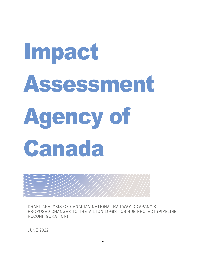# Impact Assessment Agency of Canada

DRAFT ANALYSIS OF CANADIAN NATIONAL RAILWAY COMPANY'S PROPOSED CHANGES TO THE MILTON LOGISTICS HUB PROJECT (PIPELINE RECONFIGURATION)

JUNE 2022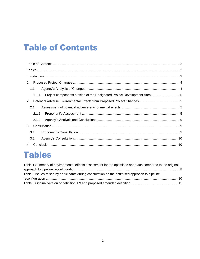# <span id="page-1-0"></span>**Table of Contents**

| 1.                                                                               |  |
|----------------------------------------------------------------------------------|--|
| 1.1                                                                              |  |
| Project components outside of the Designated Project Development Area 5<br>1.1.1 |  |
| 2.                                                                               |  |
| 2.1                                                                              |  |
| 2.1.1                                                                            |  |
| 2.1.2                                                                            |  |
| 3.                                                                               |  |
| 3.1                                                                              |  |
| 3.2                                                                              |  |
| 4.                                                                               |  |

### <span id="page-1-1"></span>**Tables**

| Table 1 Summary of environmental effects assessment for the optimised approach compared to the original |  |
|---------------------------------------------------------------------------------------------------------|--|
|                                                                                                         |  |
| Table 2 Issues raised by participants during consultation on the optimised approach to pipeline         |  |
|                                                                                                         |  |
|                                                                                                         |  |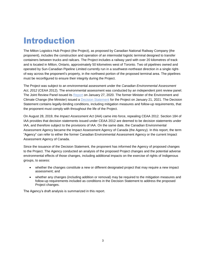# <span id="page-2-0"></span>Introduction

The Milton Logistics Hub Project (the Project), as proposed by Canadian National Railway Company (the proponent), includes the construction and operation of an intermodal logistic terminal designed to transfer containers between trucks and railcars. The Project includes a railway yard with over 20 kilometres of track and is located in Milton, Ontario, approximately 50 kilometres west of Toronto. Two oil pipelines owned and operated by Sun-Canadian Pipeline Limited currently run in a southwest-northeast direction in a single rightof-way across the proponent's property, in the northwest portion of the proposed terminal area. The pipelines must be reconfigured to ensure their integrity during the Project.

The Project was subject to an environmental assessment under the *Canadian Environmental Assessment Act, 2012* (CEAA 2012). The environmental assessment was conducted by an independent joint review panel. The Joint Review Panel issued its [Report](https://iaac-aeic.gc.ca/050/documents/p80100/133733E.pdf) on January 27, 2020. The former Minister of the Environment and Climate Change (the Minister) issued a [Decision Statement](https://iaac-aeic.gc.ca/050/evaluations/document/137964) for the Project on January 21, 2021. The Decision Statement contains legally-binding conditions, including mitigation measures and follow-up requirements, that the proponent must comply with throughout the life of the Project.

On August 28, 2019, the *Impact Assessment Act* (IAA) came into force, repealing CEAA 2012. Section 184 of IAA provides that decision statements issued under CEAA 2012 are deemed to be decision statements under IAA, and therefore subject to the provisions of IAA. On the same date, the Canadian Environmental Assessment Agency became the Impact Assessment Agency of Canada (the Agency). In this report, the term "Agency" can refer to either the former Canadian Environmental Assessment Agency or the current Impact Assessment Agency of Canada.

Since the issuance of the Decision Statement, the proponent has informed the Agency of proposed changes to the Project. The Agency conducted an analysis of the proposed Project changes and the potential adverse environmental effects of those changes, including additional impacts on the exercise of rights of Indigenous groups, to assess:

- whether the changes constitute a new or different designated project that may require a new impact assessment; and
- whether any changes (including addition or removal) may be required to the mitigation measures and follow-up requirements included as conditions in the Decision Statement to address the proposed Project changes.

The Agency's draft analysis is summarized in this report.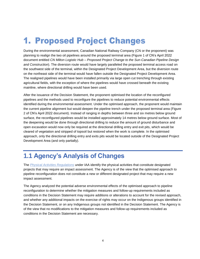## <span id="page-3-0"></span>1. Proposed Project Changes

During the environmental assessment, Canadian National Railway Company (CN or the proponent) was planning to realign the two oil pipelines around the proposed terminal area (Figure 1 of CN's April 2022 document entitled *CN Milton Logistic Hub – Proposed Project Change to the Sun-Canadian Pipeline Design and Construction*). The diversion route would have largely paralleled the proposed terminal access road on the southwest side of the terminal, within the Designated Project Development Area, but the diversion route on the northeast side of the terminal would have fallen outside the Designated Project Development Area. The realigned pipelines would have been installed primarily via large open cut trenching through existing agricultural fields, with the exception of where the pipelines would have crossed beneath the existing mainline, where directional drilling would have been used.

After the issuance of the Decision Statement, the proponent optimised the location of the reconfigured pipelines and the methods used to reconfigure the pipelines to reduce potential environmental effects identified during the environmental assessment. Under the optimised approach, the proponent would maintain the current pipeline alignment but would deepen the pipeline trench under the proposed terminal area (Figure 2 of CN's April 2022 document). Instead of ranging in depths between three and six metres below ground surface, the reconfigured pipelines would be installed approximately 14 metres below ground surface. Most of the deepening would be done through directional drilling to reduce the amount of ground disturbance and open excavation would now only be required at the directional drilling entry and exit pits, which would be cleared of vegetation and stripped of topsoil but restored when the work is complete. In the optimised approach, only the directional drilling entry and exits pits would be located outside of the Designated Project Development Area (and only partially).

#### <span id="page-3-1"></span>**1.1 Agency's Analysis of Changes**

The *[Physical Activities Regulations](https://laws.justice.gc.ca/eng/regulations/SOR-2019-285/index.html)* under IAA identify the physical activities that constitute designated projects that may require an impact assessment. The Agency is of the view that the optimised approach to pipeline reconfiguration does not constitute a new or different designated project that may require a new impact assessment.

The Agency analyzed the potential adverse environmental effects of the optimised approach to pipeline reconfiguration to determine whether the mitigation measures and follow-up requirements included as conditions in the Decision Statement may require additions or alterations to account for the revised approach, and whether any additional impacts on the exercise of rights may occur on the Indigenous groups identified in the Decision Statement, or on any Indigenous groups not identified in the Decision Statement. The Agency is of the view that no modifications to the mitigation measures and follow-up requirements included as conditions in the Decision Statement are necessary.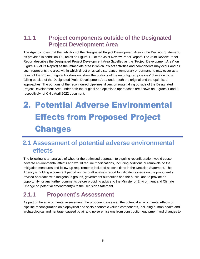#### <span id="page-4-0"></span>**1.1.1 Project components outside of the Designated Project Development Area**

The Agency notes that the definition of the Designated Project Development Area in the Decision Statement, as provided in condition 1.9, relies on Figure 1-2 of the Joint Review Panel Report. The Joint Review Panel Report describes the Designated Project Development Area (labelled as the "Project Development Area" on Figure 1-2 of its Report) as the immediate area in which Project activities and components may occur and as such represents the area within which direct physical disturbance, temporary or permanent, may occur as a result of the Project. Figure 1-2 does not show the portions of the reconfigured pipelines' diversion route falling outside of the Designated Projet Development Area under both the original and the optimised approaches. The portions of the reconfigured pipelines' diversion route falling outside of the Designated Project Development Area under both the original and optimised approaches are shown on Figures 1 and 2, respectively, of CN's April 2022 document.

# <span id="page-4-1"></span>2. Potential Adverse Environmental Effects from Proposed Project Changes

#### <span id="page-4-2"></span>**2.1 Assessment of potential adverse environmental effects**

The following is an analysis of whether the optimised approach to pipeline reconfiguration would cause adverse environmental effects and would require modifications, including additions or removals, to the mitigation measures and follow-up requirements included as conditions in the Decision Statement. The Agency is holding a comment period on this draft analysis report to validate its views on the proponent's revised approach with Indigenous groups, government authorities and the public, and to provide an opportunity for any further comments before providing advice to the Minister of Environment and Climate Change on potential amendment(s) to the Decision Statement.

#### <span id="page-4-3"></span>**2.1.1 Proponent's Assessment**

As part of the environmental assessment, the proponent assessed the potential environmental effects of pipeline reconfiguration on biophysical and socio-economic valued components, including human health and archaeological and heritage, caused by air and noise emissions from construction equipment and changes to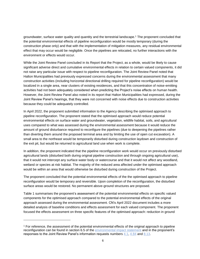groundwater, surface water quality and quantity and the terrestrial landscape.<sup>1</sup> The proponent concluded that the potential environmental effects of pipeline reconfiguration would be mostly temporary (during the construction phase only) and that with the implementation of mitigation measures, any residual environmental effect that may occur would be negligible. Once the pipelines are relocated, no further interactions with the environment or effects would occur.

While the Joint Review Panel concluded in its Report that the Project, as a whole, would be likely to cause significant adverse direct and cumulative environmental effects in relation to certain valued components, it did not raise any particular issue with respect to pipeline reconfiguration. The Joint Review Panel noted that Halton Municipalities had previously expressed concerns during the environmental assessment that many construction activities (including horizontal directional drilling required for pipeline reconfiguration) would be localized in a single area, near clusters of existing residences, and that this concentration of noise-emitting activities had not been adequately considered when predicting the Project's noise effects on human health. However, the Joint Review Panel also noted in its report that Halton Municipalities had expressed, during the Joint Review Panel's hearings, that they were not concerned with noise effects due to construction activities because they could be adequately controlled.

In April 2022, the proponent submitted information to the Agency describing the optimised approach to pipeline reconfiguration. The proponent stated that the optimised approach would reduce potential environmental effects on surface water and groundwater, vegetation, wildlife habitat, soils, and agricultural uses compared to what was assessed during the environmental assessment because it would reduce the amount of ground disturbance required to reconfigure the pipelines (due to deepening the pipelines rather than diverting them around the proposed terminal area and by limiting the use of open cut excavation). A small area to the northeast would be temporarily disturbed during construction laydown and construction of the exit pit, but would be returned to agricultural land use when work is complete.

In addition, the proponent indicated that the pipeline reconfiguration work would occur on previously disturbed agricultural lands (disturbed both during original pipeline construction and through ongoing agricultural use), that it would not intercept any surface water body or watercourse and that it would not affect any woodland, wetland or species at risk habitat. The majority of the reduced area affected under the optimised approach would be within an area that would otherwise be disturbed during construction of the Project.

The proponent concluded that the potential environmental effects of the the optimised approach to pipeline reconfiguration would be temporary and reversible. Upon completion of the reconfiguration, the disturbed surface areas would be restored. No permanent above-ground structures are proposed.

Table 1 summarises the proponent's assessment of the potential environmental effects on specific valued components for the optimised approach compared to the potential environmental effects of the original approach assessed during the environmental assessment. CN's April 2022 document includes a more detailed analysis of baseline conditions and effects assessment for each valued component. The proponent focused the effects assessment on three specific features of the optimised approach: reduction in ground

l

<sup>1</sup> For reference, the assessment of the potential environmental effects of the original approach to pipeline reconfiguration can be found in section 6.5 of the [environmental impact statement](https://www.ceaa-acee.gc.ca/050/documents/p80100/104113E.pdf) and in the proponent's responses to the Joint Review Panel's information requests numbers [4.1,](https://www.ceaa-acee.gc.ca/050/documents/p80100/122057E.pdf) [4.84](https://www.ceaa-acee.gc.ca/050/documents/p80100/122867E.pdf) and [8.13.](https://www.ceaa-acee.gc.ca/050/documents/p80100/126404E.pdf)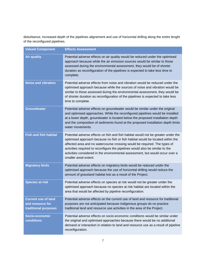disturbance, increased depth of the pipelines alignement and use of horizontal drilling along the entire lenght of the reconfigured pipelines.

| <b>Valued Component</b>                                                | <b>Effects Assessment</b>                                                                                                                                                                                                                                                                                                                                                                                                                   |
|------------------------------------------------------------------------|---------------------------------------------------------------------------------------------------------------------------------------------------------------------------------------------------------------------------------------------------------------------------------------------------------------------------------------------------------------------------------------------------------------------------------------------|
| <b>Air quality</b>                                                     | Potential adverse effects on air quality would be reduced under the optimised<br>approach because while the air emission sources would be similar to those<br>assessed during the environmental assessment, they would be of shorter<br>duration as reconfiguration of the pipelines is expected to take less time to<br>complete.                                                                                                          |
| <b>Noise and vibration</b>                                             | Potential adverse effects from noise and vibration would be reduced under the<br>optimised approach because while the sources of noise and vibration would be<br>similar to those assessed during the environmental assessment, they would be<br>of shorter duration as reconfiguration of the pipelines is expected to take less<br>time to complete.                                                                                      |
| <b>Groundwater</b>                                                     | Potential adverse effects on groundwater would be similar under the original<br>and optimised approaches. While the reconfigured pipelines would be installed<br>at a lower depth, groundwater is located below the proposed installation depth<br>and the composition of sediments found at the proposed installation depth limits<br>water movements.                                                                                     |
| <b>Fish and fish habitat</b>                                           | Potential adverse effects on fish and fish habitat would not be greater under the<br>optimised approach because no fish or fish habitat would be located within the<br>affected area and no watercourse crossing would be required. The types of<br>activities required to reconfigure the pipelines would also be similar to the<br>activities considered in the environmental assessment, but would occur over a<br>smaller areal extent. |
| <b>Migratory birds</b>                                                 | Potential adverse effects on migratory birds would be reduced under the<br>optimised approach because the use of horizontal drilling would reduce the<br>amount of grassland habitat lost as a result of the Project.                                                                                                                                                                                                                       |
| <b>Species at risk</b>                                                 | Potential adverse effects on species at risk would not be greater under the<br>optimised approach because no species at risk habitat are located within the<br>area that would be affected by pipeline reconfiguration.                                                                                                                                                                                                                     |
| <b>Current use of land</b><br>and resource for<br>traditional purposes | Potential adverse effects on the current use of land and resource for traditional<br>purposes are not anticipated because Indigenous groups do no practice<br>traditional land and resource use activities in the area of the Project.                                                                                                                                                                                                      |
| Socio-economic<br>conditions                                           | Potential adverse effects on socio-economic conditions would be similar under<br>the original and optimised approaches because there would be no additional<br>demand or interaction in relation to land and resource use as a result of pipeline<br>reconfiguration.                                                                                                                                                                       |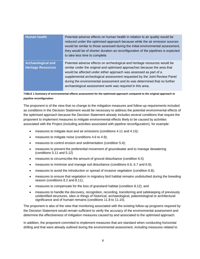| <b>Human health</b>                                    | Potential adverse effects on human health in relation to air quality would be<br>reduced under the optimised approach because while the air emission sources<br>would be similar to those assessed during the initial environmental assessment,<br>they would be of shorter duration as reconfiguration of the pipelines is expected<br>to take less time to complete.                                                                               |
|--------------------------------------------------------|------------------------------------------------------------------------------------------------------------------------------------------------------------------------------------------------------------------------------------------------------------------------------------------------------------------------------------------------------------------------------------------------------------------------------------------------------|
| <b>Archaeological and</b><br><b>Heritage Resources</b> | Potential adverse effects on archeological and heritage resources would be<br>similar under the original and optimised approaches because the area that<br>would be affected under either approach was assessed as part of a<br>supplemental archeological assessment requested by the Joint Review Panel<br>during the environmental assessment and its was determined that no further<br>archaeological assessment work was required in this area. |

#### <span id="page-7-0"></span>**TABLE 1 Summary of environmental effects assessment for the optimised approach compared to the original approach to pipeline reconfiguration**

The proponent is of the view that no change to the mitigation measures and follow-up requirements included as conditions in the Decision Statement would be necessary to address the potential environmental effects of the optimised approach because the Decision Statement already includes several conditions that require the proponent to implement measures to mitigate environmental effects likely to be caused by activities associated with the Project (including activities associated with pipeline reconfiguration), for example:

- measures to mitigate dust and air emissions (conditions 4.11 and 4.13);
- measures to mitigate noise (conditions 4.6 to 4.9);
- measures to control erosion and sedimentation (condition 5.4);
- measures to prevent the preferential movement of groundwater and to manage dewatering (conditions 5.11 and 5.12)
- measures to circumscribe the amount of ground disturbance (condition 6.5)
- measures to minimize and manage soil disturbance (conditions 6.6, 6.7 and 6.9);
- measures to avoid the introduction or spread of invasive vegetation (condition 6.8);
- measures to ensure that vegetation in migratory bird habitat remains undisturbed during the breeding season (conditions 8.2 and 8.11);
- measures to compensate for the loss of grassland habitat (condition 8.12); and
- measures to handle the discovery, recognition, recording, transferring and safekeeping of previously unidentified structures, sites or things of historical, archaeological, paleontological or architectural significance and of humain remains (conditions 11.8 to 11.10).

The proponent is also of the view that monitoring associated with the existing follow-up programs required by the Decision Statement would remain sufficient to verify the accuracy of the environmental assessment and determine the effectiveness of mitigation measures caused by and associated to the optimised approach.

In addition, the proponent commited to implement measures that are standard when conducting horizontal drilling and that were already outlined during the environmental assessment, including measures related to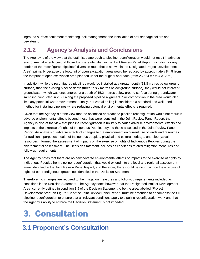inground surface settlement monitoring, soil management, the installation of anti-seepage collars and dewatering.

#### <span id="page-8-0"></span>**2.1.2 Agency's Analysis and Conclusions**

The Agency is of the view that the optimised approach to pipeline reconfiguration would not result in adverse environmental effects beyond those that were identified in the Joint Review Panel Report (including for any portion of the reconfigured pipelines' diversion route that is not within the Designated Project Development Area), primarily because the footprint of open excavation area would be reduced by approximately 84 % from the footprint of open excavation area planned under the original approach (from 26,524 m<sup>2</sup> to 4.312 m<sup>2</sup>).

In addition, while the reconfigured pipelines would be installed at a greater depth (13.8 metres below ground surface) than the existing pipeline depth (three to six metres below ground surface), they would not intercept groundwater, which was encountered at a depth of 15.2 metres below ground surface during groundwater sampling conducted in 2021 along the proposed pipeline alignment. Soil composition in the area would also limit any potential water movernment. Finally, horizontal drilling is considered a standard and well-used method for installing pipelines where reducing potential environmental effects is required.

Given that the Agency is of the view that the optimised approach to pipeline reconfiguration would not result in adverse environmental effects beyond those that were identified in the Joint Review Panel Report, the Agency is also of the view that pipeline reconfiguration is unlikely to cause adverse environmental effects and impacts to the exercise of rights of Indigenous Peoples beyond those assessed in the Joint Review Panel Report. An analysis of adverse effects of changes to the environment on current use of lands and resources for traditional purposes, health of Indigenous peoples, physical and cultural heritage, and biophysical resources informed the assessment of impacts on the exercise of rights of Indigenous Peoples during the environmental assessment. The Decision Statement includes as conditions related mitigation measures and follow-up requirements.

The Agency notes that there are no new adverse environmental effects or impacts to the exercise of rights by Indigenous Peoples from pipeline reconfiguration that would extend into the local and regional assessment areas identified in the Joint Review Panel Report, and therefore, there would be no impact on the exercise of rights of other Indigenous groups not identified in the Decistion Statement.

Therefore, no changes are required to the mitigation measures and follow-up requirements included as conditions in the Decision Statement. The Agency notes however that the Designated Project Development Area, currently defined in condition 1.9 of the Decision Statement to be the area labelled "Project Development Area" on Figure 1-2 of the Joint Review Panel Report, must be amended to encompass the full pipeline reconfiguration to ensure that all relevant conditions apply to pipeline reconfiguration work and that the Agency's ability to enforce the Decision Statement is not impeded.

# <span id="page-8-1"></span>3. Consultation

#### <span id="page-8-2"></span>**3.1 Proponent's Consultation**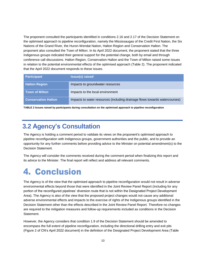The proponent consulted the participants identified in conditions 2.16 and 2.17 of the Decision Statement on the optimised approach to pipeline reconfiguration, namely the Mississaugas of the Credit First Nation, the Six Nations of the Grand River, the Huron-Wendat Nation, Halton Region and Conservation Halton. The proponent also consulted the Town of Milton. In its April 2022 document, the proponent stated that the three Indigenous groups indicated their general support for the potential change, both by email and through conference call discussions. Halton Region, Conservation Halton and the Town of Milton raised some issues in relation to the potential environmental effects of the optimised approach (Table 2). The proponent indicated that the April 2022 document responds to these issues.

| <b>Participant</b>         | <b>Issue(s) raised</b>                                                     |
|----------------------------|----------------------------------------------------------------------------|
| <b>Halton Region</b>       | Impacts to groundwater resources                                           |
| <b>Town of Milton</b>      | Impacts to the local environment                                           |
| <b>Conservation Halton</b> | Impacts to water resources (including drainage flows towards watercourses) |

<span id="page-9-2"></span>**TABLE 2 Issues raised by participants during consultation on the optimised approach to pipeline reconfiguration**

#### <span id="page-9-0"></span>**3.2 Agency's Consultation**

The Agency is holding a comment period to validate its views on the proponent's optimised approach to pipeline reconfiguration with Indigenous groups, government authorities and the public, and to provide an opportunity for any further comments before providing advice to the Minister on potential amendment(s) to the Decision Statement.

The Agency will consider the comments received during the comment period when finalizing this report and its advice to the Minister. The final report will reflect and address all relevant comments.

# <span id="page-9-1"></span>4. Conclusion

The Agency is of the view that the optimised approach to pipeline reconfiguration would not result in adverse environmental effects beyond those that were identified in the Joint Review Panel Report (including for any portion of the reconfigured pipelines' diversion route that is not within the Designated Project Development Area). The Agency is also of the view that the proposed project changes would not cause any additional adverse environmental effects and impacts to the exercise of rights of the Indigenous groups identified in the Decision Statement other than the effects described in the Joint Review Panel Report. Therefore no changes are required to the mitigation measures and follow-up requirements included as conditions in the Decision Statement.

However, the Agency considers that condition 1.9 of the Decision Statement should be amended to encompass the full extent of pipeline reconfiguration, including the directional drilling entry and exit pits (Figure 2 of CN's April 2022 document) in the definition of the Designated Project Development Area (Table